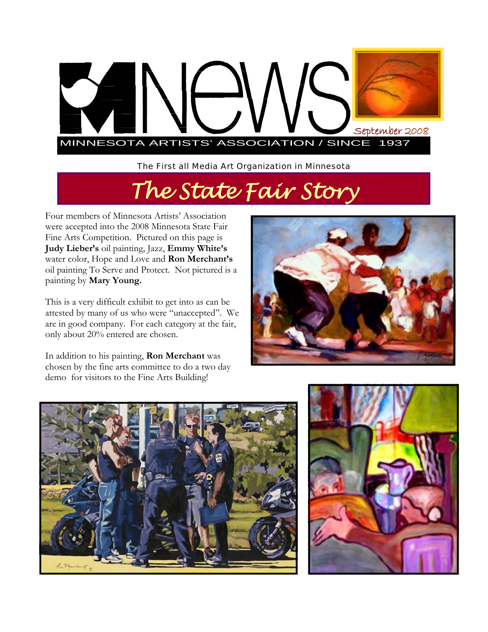

*The First all Media Art Organization in Minnesota* 

# *The State Fair Story*

Four members of Minnesota Artists' Association were accepted into the 2008 Minnesota State Fair Fine Arts Competition. Pictured on this page is **Judy Lieber's** oil painting, Jazz, **Emmy White's**  water color, Hope and Love and **Ron Merchant's**  oil painting To Serve and Protect. Not pictured is a painting by **Mary Young.** 

This is a very difficult exhibit to get into as can be attested by many of us who were "unaccepted". We are in good company. For each category at the fair, only about 20% entered are chosen.

In addition to his painting, **Ron Merchant** was chosen by the fine arts committee to do a two day demo for visitors to the Fine Arts Building!





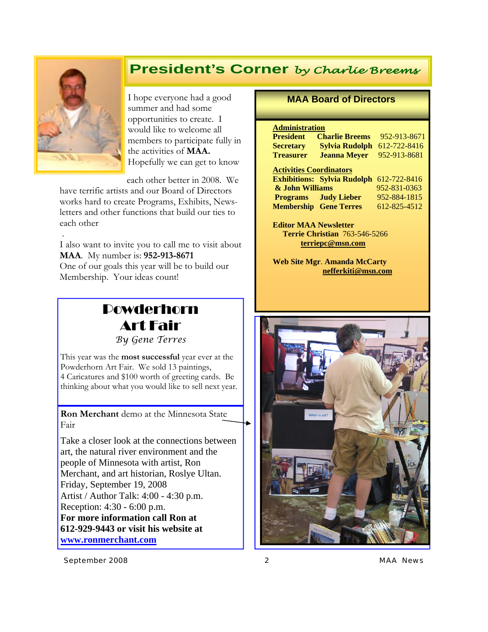## **President's Corner** *by Charlie Breems*



I hope everyone had a good summer and had some opportunities to create. I would like to welcome all members to participate fully in the activities of **MAA.**  Hopefully we can get to know

each other better in 2008. We

have terrific artists and our Board of Directors works hard to create Programs, Exhibits, Newsletters and other functions that build our ties to each other

 . I also want to invite you to call me to visit about **MAA**. My number is: **952-913-8671**  One of our goals this year will be to build our Membership. Your ideas count!

## Powderhorn Art Fair

*By Gene Terres* 

This year was the **most successful** year ever at the Powderhorn Art Fair. We sold 13 paintings, 4 Caricatures and \$100 worth of greeting cards. Be thinking about what you would like to sell next year.

**Ron Merchant** demo at the Minnesota State Fair

Take a closer look at the connections between art, the natural river environment and the people of Minnesota with artist, Ron Merchant, and art historian, Roslye Ultan. Friday, September 19, 2008 Artist / Author Talk: 4:00 - 4:30 p.m. Reception: 4:30 - 6:00 p.m. **For more information call Ron at 612-929-9443 or visit his website at www.ronmerchant.com**

#### **MAA Board of Directors**

#### **Administration**

| <b>President</b>               | <b>Charlie Breems</b>              | 952-913-8671 |
|--------------------------------|------------------------------------|--------------|
| <b>Secretary</b>               | <b>Sylvia Rudolph</b>              | 612-722-8416 |
| <b>Treasurer</b>               | <b>Jeanna Meyer</b>                | 952-913-8681 |
| <b>Activities Coordinators</b> |                                    |              |
|                                | <b>Exhibitions: Sylvia Rudolph</b> | 612-722-8416 |
| & John Williams                |                                    | 952-831-0363 |
|                                | <b>Programs</b> Judy Lieber        | 952-884-1815 |
|                                | <b>Membership Gene Terres</b>      | 612-825-4512 |

**Editor MAA Newsletter Terrie Christian** 763-546-5266 **terriepc@msn.com**

**Web Site Mgr**. **Amanda McCarty nefferkiti@msn.com** 



*September 2008 2 MAA News*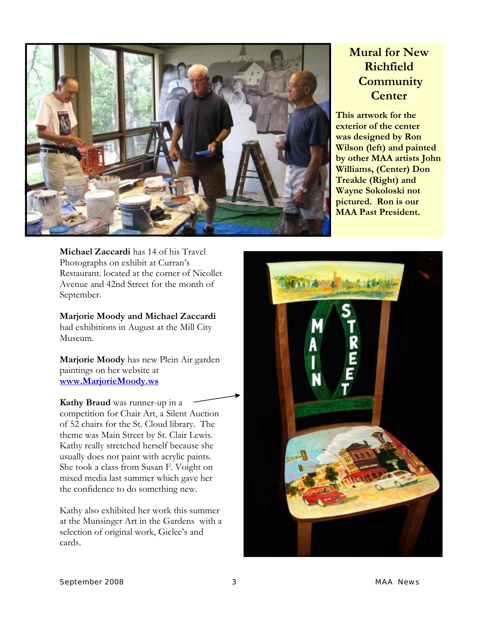

### **Mural for New Richfield Community Center**

**This artwork for the exterior of the center was designed by Ron Wilson (left) and painted by other MAA artists John Williams, (Center) Don Treakle (Right) and Wayne Sokoloski not pictured. Ron is our MAA Past President.** 

**Michael Zaccardi** has 14 of his Travel Photographs on exhibit at Curran's Restaurant. located at the corner of Nicollet Avenue and 42nd Street for the month of September.

**Marjorie Moody and Michael Zaccardi**  had exhibitions in August at the Mill City Museum.

**Marjorie Moody** has new Plein Air garden paintings on her website at **www.MarjorieMoody.ws**

**Kathy Braud** was runner-up in a competition for Chair Art, a Silent Auction of 52 chairs for the St. Cloud library. The theme was Main Street by St. Clair Lewis. Kathy really stretched herself because she usually does not paint with acrylic paints. She took a class from Susan F. Voight on mixed media last summer which gave her the confidence to do something new.

Kathy also exhibited her work this summer at the Munsinger Art in the Gardens with a selection of original work, Giclee's and cards.